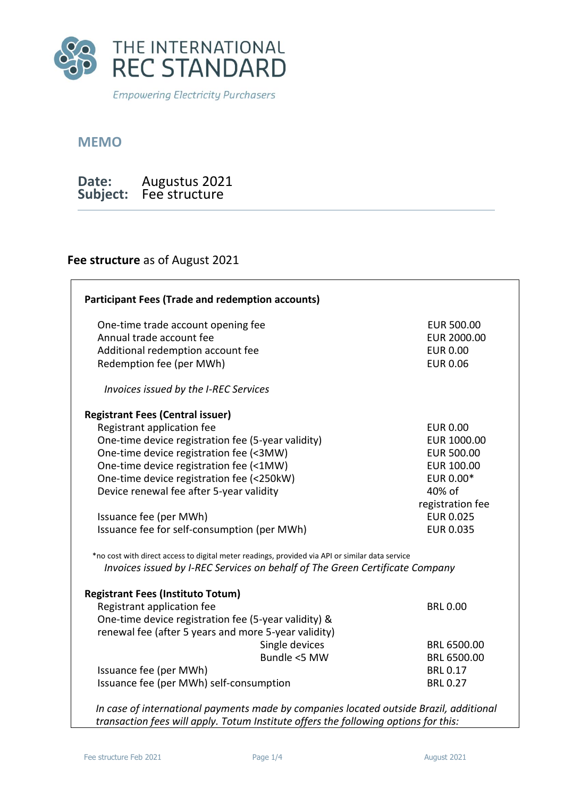

**Empowering Electricity Purchasers** 

## **MEMO**

| Date:    | Augustus 2021 |
|----------|---------------|
| Subject: | Fee structure |

## **Fee structure** as of August 2021

| <b>Participant Fees (Trade and redemption accounts)</b>                                         |                   |  |  |
|-------------------------------------------------------------------------------------------------|-------------------|--|--|
| One-time trade account opening fee                                                              | <b>EUR 500.00</b> |  |  |
| Annual trade account fee                                                                        | EUR 2000.00       |  |  |
| Additional redemption account fee                                                               | <b>EUR 0.00</b>   |  |  |
| Redemption fee (per MWh)                                                                        | <b>EUR 0.06</b>   |  |  |
| Invoices issued by the I-REC Services                                                           |                   |  |  |
| <b>Registrant Fees (Central issuer)</b>                                                         |                   |  |  |
| Registrant application fee                                                                      | <b>EUR 0.00</b>   |  |  |
| One-time device registration fee (5-year validity)                                              | EUR 1000.00       |  |  |
| One-time device registration fee (<3MW)                                                         | <b>EUR 500.00</b> |  |  |
| One-time device registration fee (<1MW)                                                         | <b>EUR 100.00</b> |  |  |
| One-time device registration fee (<250kW)                                                       | EUR 0.00*         |  |  |
| Device renewal fee after 5-year validity                                                        | 40% of            |  |  |
|                                                                                                 | registration fee  |  |  |
| Issuance fee (per MWh)                                                                          | <b>EUR 0.025</b>  |  |  |
| Issuance fee for self-consumption (per MWh)                                                     | <b>EUR 0.035</b>  |  |  |
| *no cost with direct access to digital meter readings, provided via API or similar data service |                   |  |  |
| Invoices issued by I-REC Services on behalf of The Green Certificate Company                    |                   |  |  |
| <b>Registrant Fees (Instituto Totum)</b>                                                        |                   |  |  |
| Registrant application fee                                                                      | <b>BRL 0.00</b>   |  |  |
| One-time device registration fee (5-year validity) &                                            |                   |  |  |
| renewal fee (after 5 years and more 5-year validity)                                            |                   |  |  |
| Single devices                                                                                  | BRL 6500.00       |  |  |
| Bundle <5 MW                                                                                    | BRL 6500.00       |  |  |
| Issuance fee (per MWh)                                                                          | <b>BRL 0.17</b>   |  |  |
| Issuance fee (per MWh) self-consumption                                                         | <b>BRL 0.27</b>   |  |  |
|                                                                                                 |                   |  |  |

*In case of international payments made by companies located outside Brazil, additional transaction fees will apply. Totum Institute offers the following options for this:* 

٦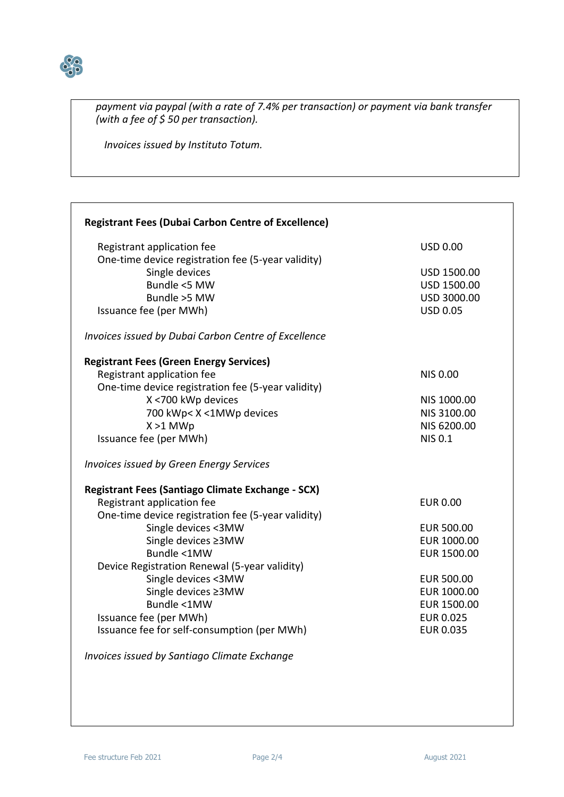

*payment via paypal (with a rate of 7.4% per transaction) or payment via bank transfer (with a fee of \$ 50 per transaction).*

*Invoices issued by Instituto Totum.* 

| <b>Registrant Fees (Dubai Carbon Centre of Excellence)</b> |                   |
|------------------------------------------------------------|-------------------|
| Registrant application fee                                 | <b>USD 0.00</b>   |
| One-time device registration fee (5-year validity)         |                   |
| Single devices                                             | USD 1500.00       |
| Bundle <5 MW                                               | USD 1500.00       |
| Bundle >5 MW                                               | USD 3000.00       |
| Issuance fee (per MWh)                                     | <b>USD 0.05</b>   |
|                                                            |                   |
| Invoices issued by Dubai Carbon Centre of Excellence       |                   |
| <b>Registrant Fees (Green Energy Services)</b>             |                   |
| Registrant application fee                                 | <b>NIS 0.00</b>   |
| One-time device registration fee (5-year validity)         |                   |
| X <700 kWp devices                                         | NIS 1000.00       |
| 700 kWp< X <1MWp devices                                   | NIS 3100.00       |
| $X > 1$ MWp                                                | NIS 6200.00       |
| Issuance fee (per MWh)                                     | <b>NIS 0.1</b>    |
| Invoices issued by Green Energy Services                   |                   |
| Registrant Fees (Santiago Climate Exchange - SCX)          |                   |
| Registrant application fee                                 | <b>EUR 0.00</b>   |
| One-time device registration fee (5-year validity)         |                   |
| Single devices <3MW                                        | EUR 500.00        |
| Single devices ≥3MW                                        | EUR 1000.00       |
| Bundle <1MW                                                | EUR 1500.00       |
| Device Registration Renewal (5-year validity)              |                   |
| Single devices <3MW                                        | <b>EUR 500.00</b> |
| Single devices ≥3MW                                        | EUR 1000.00       |
| Bundle <1MW                                                | EUR 1500.00       |
| Issuance fee (per MWh)                                     | <b>EUR 0.025</b>  |
| Issuance fee for self-consumption (per MWh)                | <b>EUR 0.035</b>  |
|                                                            |                   |
| Invoices issued by Santiago Climate Exchange               |                   |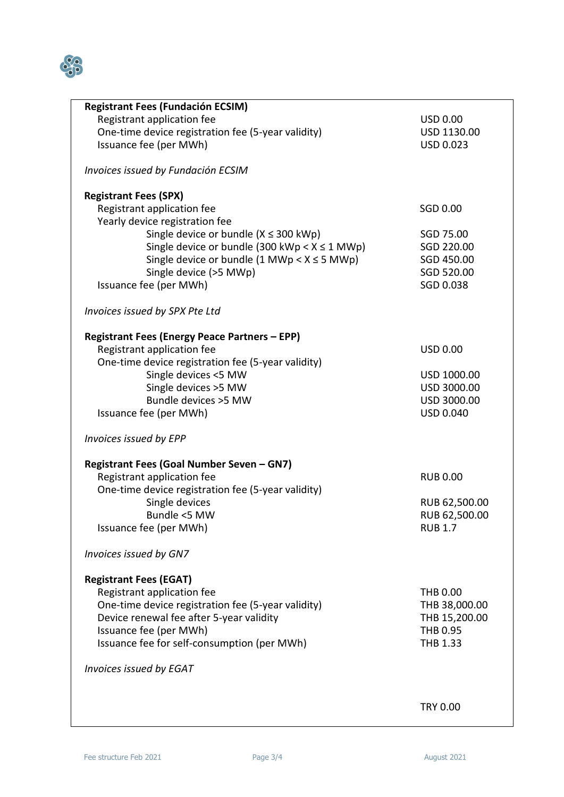

| <b>Registrant Fees (Fundación ECSIM)</b>                        |                  |
|-----------------------------------------------------------------|------------------|
| Registrant application fee                                      | <b>USD 0.00</b>  |
|                                                                 |                  |
| One-time device registration fee (5-year validity)              | USD 1130.00      |
| Issuance fee (per MWh)                                          | <b>USD 0.023</b> |
|                                                                 |                  |
|                                                                 |                  |
| Invoices issued by Fundación ECSIM                              |                  |
|                                                                 |                  |
| <b>Registrant Fees (SPX)</b>                                    |                  |
| Registrant application fee                                      | SGD 0.00         |
|                                                                 |                  |
| Yearly device registration fee                                  |                  |
| Single device or bundle ( $X \leq 300$ kWp)                     | SGD 75.00        |
| Single device or bundle (300 kWp < $X \le 1$ MWp)               | SGD 220.00       |
|                                                                 |                  |
| Single device or bundle $(1 \text{ MWp} < X \le 5 \text{ MWp})$ | SGD 450.00       |
| Single device (>5 MWp)                                          | SGD 520.00       |
| Issuance fee (per MWh)                                          | SGD 0.038        |
|                                                                 |                  |
|                                                                 |                  |
| Invoices issued by SPX Pte Ltd                                  |                  |
|                                                                 |                  |
| <b>Registrant Fees (Energy Peace Partners - EPP)</b>            |                  |
|                                                                 |                  |
| Registrant application fee                                      | <b>USD 0.00</b>  |
| One-time device registration fee (5-year validity)              |                  |
| Single devices <5 MW                                            | USD 1000.00      |
|                                                                 |                  |
| Single devices >5 MW                                            | USD 3000.00      |
| Bundle devices >5 MW                                            | USD 3000.00      |
| Issuance fee (per MWh)                                          | USD 0.040        |
|                                                                 |                  |
|                                                                 |                  |
| Invoices issued by EPP                                          |                  |
|                                                                 |                  |
| Registrant Fees (Goal Number Seven - GN7)                       |                  |
|                                                                 | <b>RUB 0.00</b>  |
| Registrant application fee                                      |                  |
| One-time device registration fee (5-year validity)              |                  |
| Single devices                                                  | RUB 62,500.00    |
| Bundle <5 MW                                                    | RUB 62,500.00    |
|                                                                 |                  |
| Issuance fee (per MWh)                                          | <b>RUB 1.7</b>   |
|                                                                 |                  |
| Invoices issued by GN7                                          |                  |
|                                                                 |                  |
|                                                                 |                  |
| <b>Registrant Fees (EGAT)</b>                                   |                  |
| Registrant application fee                                      | <b>THB 0.00</b>  |
| One-time device registration fee (5-year validity)              | THB 38,000.00    |
|                                                                 |                  |
| Device renewal fee after 5-year validity                        | THB 15,200.00    |
| Issuance fee (per MWh)                                          | THB 0.95         |
| Issuance fee for self-consumption (per MWh)                     | THB 1.33         |
|                                                                 |                  |
|                                                                 |                  |
| Invoices issued by EGAT                                         |                  |
|                                                                 |                  |
|                                                                 |                  |
|                                                                 | <b>TRY 0.00</b>  |
|                                                                 |                  |
|                                                                 |                  |